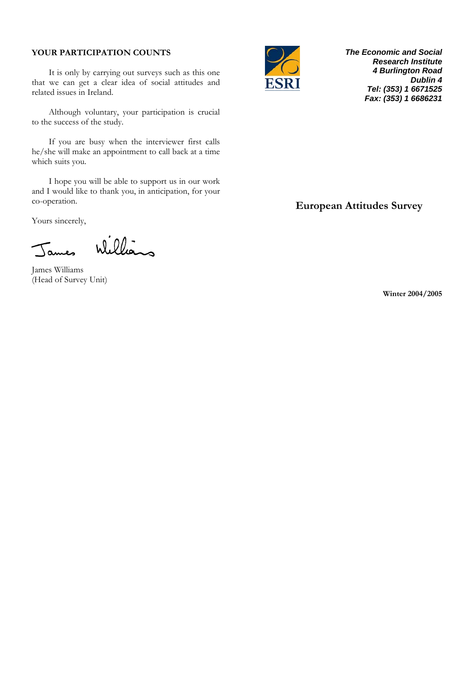## **YOUR PARTICIPATION COUNTS**

It is only by carrying out surveys such as this one that we can get a clear idea of social attitudes and related issues in Ireland.

Although voluntary, your participation is crucial to the success of the study.

If you are busy when the interviewer first calls he/she will make an appointment to call back at a time which suits you.

I hope you will be able to support us in our work and I would like to thank you, in anticipation, for your co-operation.

Yours sincerely,

Williams Tames

James Williams (Head of Survey Unit)



*The Economic and Social Research Institute 4 Burlington Road Dublin 4 Tel: (353) 1 6671525 Fax: (353) 1 6686231* 

# **European Attitudes Survey**

**Winter 2004/2005**